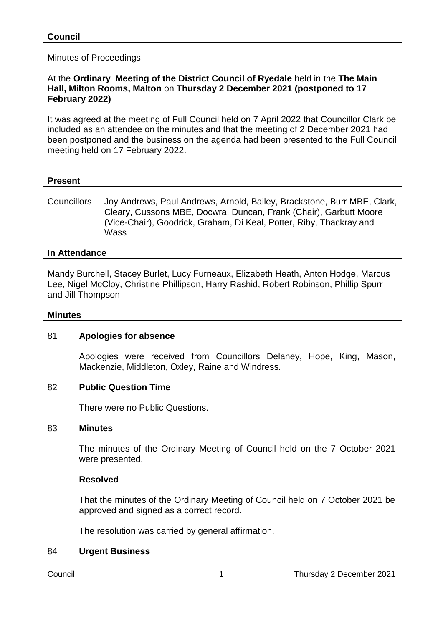Minutes of Proceedings

#### At the **Ordinary Meeting of the District Council of Ryedale** held in the **The Main Hall, Milton Rooms, Malton** on **Thursday 2 December 2021 (postponed to 17 February 2022)**

It was agreed at the meeting of Full Council held on 7 April 2022 that Councillor Clark be included as an attendee on the minutes and that the meeting of 2 December 2021 had been postponed and the business on the agenda had been presented to the Full Council meeting held on 17 February 2022.

# **Present**

Councillors Joy Andrews, Paul Andrews, Arnold, Bailey, Brackstone, Burr MBE, Clark, Cleary, Cussons MBE, Docwra, Duncan, Frank (Chair), Garbutt Moore (Vice-Chair), Goodrick, Graham, Di Keal, Potter, Riby, Thackray and **Wass** 

## **In Attendance**

Mandy Burchell, Stacey Burlet, Lucy Furneaux, Elizabeth Heath, Anton Hodge, Marcus Lee, Nigel McCloy, Christine Phillipson, Harry Rashid, Robert Robinson, Phillip Spurr and Jill Thompson

#### **Minutes**

#### 81 **Apologies for absence**

Apologies were received from Councillors Delaney, Hope, King, Mason, Mackenzie, Middleton, Oxley, Raine and Windress.

#### 82 **Public Question Time**

There were no Public Questions.

#### 83 **Minutes**

The minutes of the Ordinary Meeting of Council held on the 7 October 2021 were presented.

#### **Resolved**

That the minutes of the Ordinary Meeting of Council held on 7 October 2021 be approved and signed as a correct record.

The resolution was carried by general affirmation.

#### 84 **Urgent Business**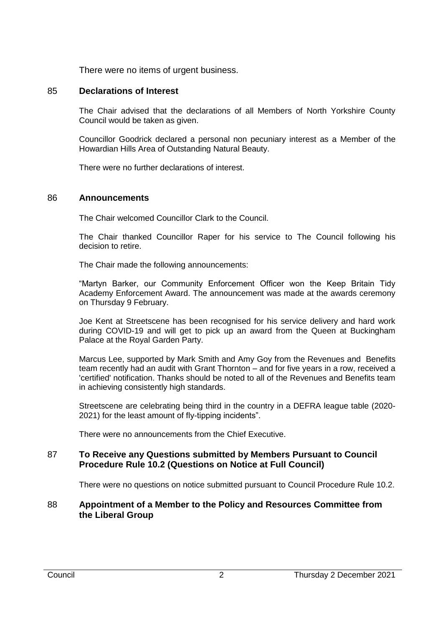There were no items of urgent business.

## 85 **Declarations of Interest**

The Chair advised that the declarations of all Members of North Yorkshire County Council would be taken as given.

Councillor Goodrick declared a personal non pecuniary interest as a Member of the Howardian Hills Area of Outstanding Natural Beauty.

There were no further declarations of interest.

#### 86 **Announcements**

The Chair welcomed Councillor Clark to the Council.

The Chair thanked Councillor Raper for his service to The Council following his decision to retire.

The Chair made the following announcements:

"Martyn Barker, our Community Enforcement Officer won the Keep Britain Tidy Academy Enforcement Award. The announcement was made at the awards ceremony on Thursday 9 February.

Joe Kent at Streetscene has been recognised for his service delivery and hard work during COVID-19 and will get to pick up an award from the Queen at Buckingham Palace at the Royal Garden Party.

Marcus Lee, supported by Mark Smith and Amy Goy from the Revenues and Benefits team recently had an audit with Grant Thornton – and for five years in a row, received a 'certified' notification. Thanks should be noted to all of the Revenues and Benefits team in achieving consistently high standards.

Streetscene are celebrating being third in the country in a DEFRA league table (2020- 2021) for the least amount of fly-tipping incidents".

There were no announcements from the Chief Executive.

## 87 **To Receive any Questions submitted by Members Pursuant to Council Procedure Rule 10.2 (Questions on Notice at Full Council)**

There were no questions on notice submitted pursuant to Council Procedure Rule 10.2.

#### 88 **Appointment of a Member to the Policy and Resources Committee from the Liberal Group**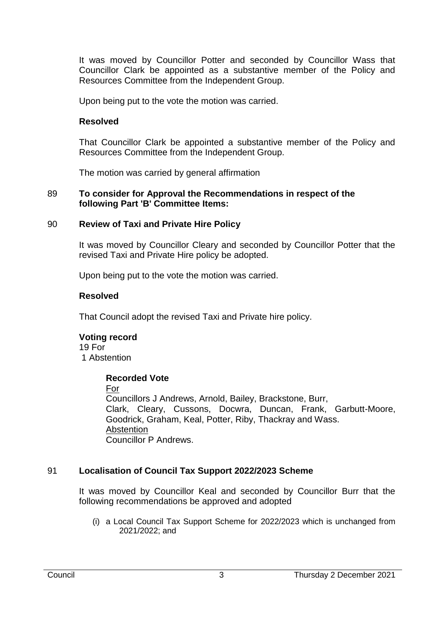It was moved by Councillor Potter and seconded by Councillor Wass that Councillor Clark be appointed as a substantive member of the Policy and Resources Committee from the Independent Group.

Upon being put to the vote the motion was carried.

## **Resolved**

That Councillor Clark be appointed a substantive member of the Policy and Resources Committee from the Independent Group.

The motion was carried by general affirmation

#### 89 **To consider for Approval the Recommendations in respect of the following Part 'B' Committee Items:**

# 90 **Review of Taxi and Private Hire Policy**

It was moved by Councillor Cleary and seconded by Councillor Potter that the revised Taxi and Private Hire policy be adopted.

Upon being put to the vote the motion was carried.

## **Resolved**

That Council adopt the revised Taxi and Private hire policy.

# **Voting record**

19 For 1 Abstention

# **Recorded Vote**

For

Councillors J Andrews, Arnold, Bailey, Brackstone, Burr, Clark, Cleary, Cussons, Docwra, Duncan, Frank, Garbutt-Moore, Goodrick, Graham, Keal, Potter, Riby, Thackray and Wass. **Abstention** Councillor P Andrews.

# 91 **Localisation of Council Tax Support 2022/2023 Scheme**

It was moved by Councillor Keal and seconded by Councillor Burr that the following recommendations be approved and adopted

(i) a Local Council Tax Support Scheme for 2022/2023 which is unchanged from 2021/2022; and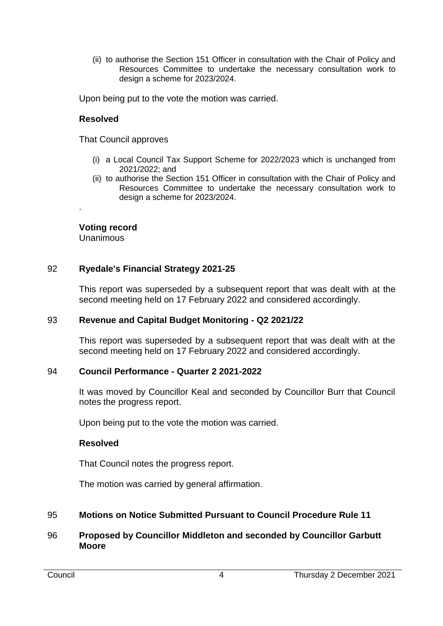(ii) to authorise the Section 151 Officer in consultation with the Chair of Policy and Resources Committee to undertake the necessary consultation work to design a scheme for 2023/2024.

Upon being put to the vote the motion was carried.

# **Resolved**

That Council approves

- (i) a Local Council Tax Support Scheme for 2022/2023 which is unchanged from 2021/2022; and
- (ii) to authorise the Section 151 Officer in consultation with the Chair of Policy and Resources Committee to undertake the necessary consultation work to design a scheme for 2023/2024.

# **Voting record**

Unanimous

.

# 92 **Ryedale's Financial Strategy 2021-25**

This report was superseded by a subsequent report that was dealt with at the second meeting held on 17 February 2022 and considered accordingly.

# 93 **Revenue and Capital Budget Monitoring - Q2 2021/22**

This report was superseded by a subsequent report that was dealt with at the second meeting held on 17 February 2022 and considered accordingly.

# 94 **Council Performance - Quarter 2 2021-2022**

It was moved by Councillor Keal and seconded by Councillor Burr that Council notes the progress report.

Upon being put to the vote the motion was carried.

# **Resolved**

That Council notes the progress report.

The motion was carried by general affirmation.

# 95 **Motions on Notice Submitted Pursuant to Council Procedure Rule 11**

# 96 **Proposed by Councillor Middleton and seconded by Councillor Garbutt Moore**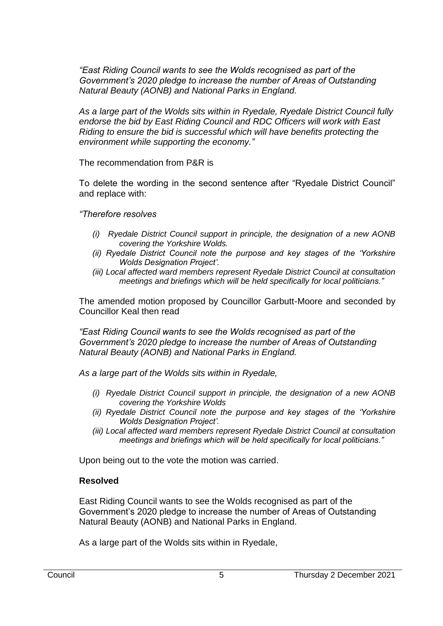*"East Riding Council wants to see the Wolds recognised as part of the Government's 2020 pledge to increase the number of Areas of Outstanding Natural Beauty (AONB) and National Parks in England.*

*As a large part of the Wolds sits within in Ryedale, Ryedale District Council fully endorse the bid by East Riding Council and RDC Officers will work with East Riding to ensure the bid is successful which will have benefits protecting the environment while supporting the economy."*

The recommendation from P&R is

To delete the wording in the second sentence after "Ryedale District Council" and replace with:

*"Therefore resolves*

- *(i) Ryedale District Council support in principle, the designation of a new AONB covering the Yorkshire Wolds.*
- *(ii) Ryedale District Council note the purpose and key stages of the 'Yorkshire Wolds Designation Project'.*
- *(iii) Local affected ward members represent Ryedale District Council at consultation meetings and briefings which will be held specifically for local politicians."*

The amended motion proposed by Councillor Garbutt-Moore and seconded by Councillor Keal then read

*"East Riding Council wants to see the Wolds recognised as part of the Government's 2020 pledge to increase the number of Areas of Outstanding Natural Beauty (AONB) and National Parks in England.*

*As a large part of the Wolds sits within in Ryedale,*

- *(i) Ryedale District Council support in principle, the designation of a new AONB covering the Yorkshire Wolds*
- *(ii) Ryedale District Council note the purpose and key stages of the 'Yorkshire Wolds Designation Project'.*
- *(iii) Local affected ward members represent Ryedale District Council at consultation meetings and briefings which will be held specifically for local politicians."*

Upon being out to the vote the motion was carried.

#### **Resolved**

East Riding Council wants to see the Wolds recognised as part of the Government's 2020 pledge to increase the number of Areas of Outstanding Natural Beauty (AONB) and National Parks in England.

As a large part of the Wolds sits within in Ryedale,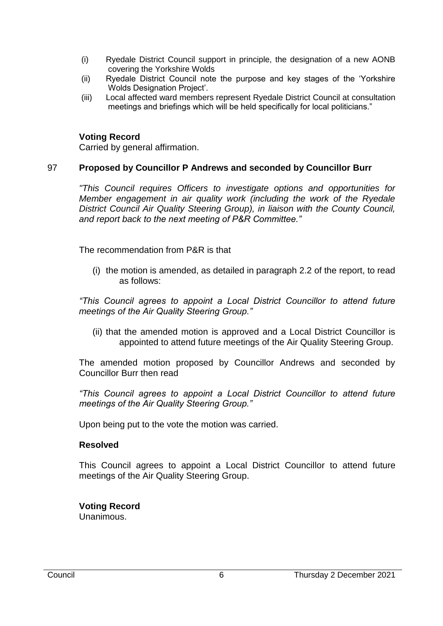- (i) Ryedale District Council support in principle, the designation of a new AONB covering the Yorkshire Wolds
- (ii) Ryedale District Council note the purpose and key stages of the 'Yorkshire Wolds Designation Project'.
- (iii) Local affected ward members represent Ryedale District Council at consultation meetings and briefings which will be held specifically for local politicians."

# **Voting Record**

Carried by general affirmation.

# 97 **Proposed by Councillor P Andrews and seconded by Councillor Burr**

*"This Council requires Officers to investigate options and opportunities for Member engagement in air quality work (including the work of the Ryedale District Council Air Quality Steering Group), in liaison with the County Council, and report back to the next meeting of P&R Committee."*

The recommendation from P&R is that

(i) the motion is amended, as detailed in paragraph 2.2 of the report, to read as follows:

*"This Council agrees to appoint a Local District Councillor to attend future meetings of the Air Quality Steering Group."*

(ii) that the amended motion is approved and a Local District Councillor is appointed to attend future meetings of the Air Quality Steering Group.

The amended motion proposed by Councillor Andrews and seconded by Councillor Burr then read

*"This Council agrees to appoint a Local District Councillor to attend future meetings of the Air Quality Steering Group."*

Upon being put to the vote the motion was carried.

# **Resolved**

This Council agrees to appoint a Local District Councillor to attend future meetings of the Air Quality Steering Group.

#### **Voting Record** Unanimous.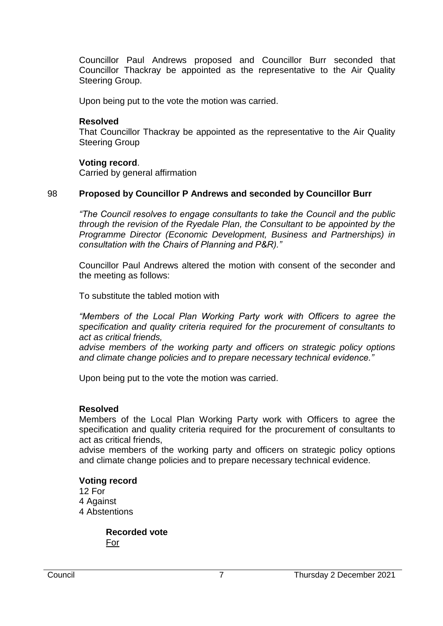Councillor Paul Andrews proposed and Councillor Burr seconded that Councillor Thackray be appointed as the representative to the Air Quality Steering Group.

Upon being put to the vote the motion was carried.

#### **Resolved**

That Councillor Thackray be appointed as the representative to the Air Quality Steering Group

#### **Voting record**.

Carried by general affirmation

## 98 **Proposed by Councillor P Andrews and seconded by Councillor Burr**

*"The Council resolves to engage consultants to take the Council and the public through the revision of the Ryedale Plan, the Consultant to be appointed by the Programme Director (Economic Development, Business and Partnerships) in consultation with the Chairs of Planning and P&R)."*

Councillor Paul Andrews altered the motion with consent of the seconder and the meeting as follows:

To substitute the tabled motion with

*"Members of the Local Plan Working Party work with Officers to agree the specification and quality criteria required for the procurement of consultants to act as critical friends,* 

*advise members of the working party and officers on strategic policy options and climate change policies and to prepare necessary technical evidence."*

Upon being put to the vote the motion was carried.

#### **Resolved**

Members of the Local Plan Working Party work with Officers to agree the specification and quality criteria required for the procurement of consultants to act as critical friends,

advise members of the working party and officers on strategic policy options and climate change policies and to prepare necessary technical evidence.

#### **Voting record**

12 For 4 Against 4 Abstentions

> **Recorded vote** For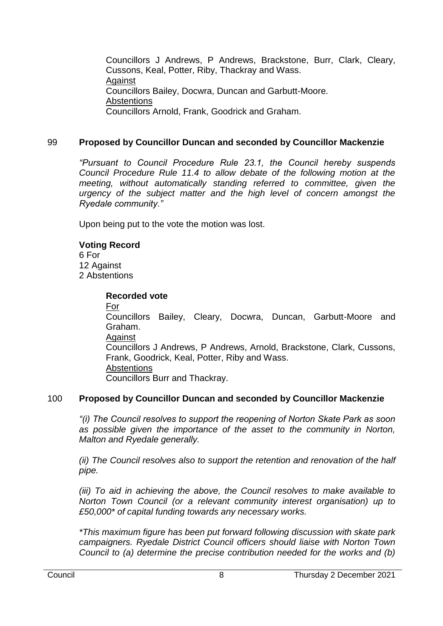Councillors J Andrews, P Andrews, Brackstone, Burr, Clark, Cleary, Cussons, Keal, Potter, Riby, Thackray and Wass. Against Councillors Bailey, Docwra, Duncan and Garbutt-Moore. **Abstentions** Councillors Arnold, Frank, Goodrick and Graham.

# 99 **Proposed by Councillor Duncan and seconded by Councillor Mackenzie**

*"Pursuant to Council Procedure Rule 23.1, the Council hereby suspends Council Procedure Rule 11.4 to allow debate of the following motion at the meeting, without automatically standing referred to committee, given the urgency of the subject matter and the high level of concern amongst the Ryedale community."*

Upon being put to the vote the motion was lost.

## **Voting Record**

6 For 12 Against 2 Abstentions

## **Recorded vote**

For Councillors Bailey, Cleary, Docwra, Duncan, Garbutt-Moore and Graham. **Against** Councillors J Andrews, P Andrews, Arnold, Brackstone, Clark, Cussons, Frank, Goodrick, Keal, Potter, Riby and Wass. **Abstentions** Councillors Burr and Thackray.

# 100 **Proposed by Councillor Duncan and seconded by Councillor Mackenzie**

*"(i) The Council resolves to support the reopening of Norton Skate Park as soon as possible given the importance of the asset to the community in Norton, Malton and Ryedale generally.*

*(ii) The Council resolves also to support the retention and renovation of the half pipe.*

*(iii) To aid in achieving the above, the Council resolves to make available to Norton Town Council (or a relevant community interest organisation) up to £50,000\* of capital funding towards any necessary works.*

*\*This maximum figure has been put forward following discussion with skate park campaigners. Ryedale District Council officers should liaise with Norton Town Council to (a) determine the precise contribution needed for the works and (b)*